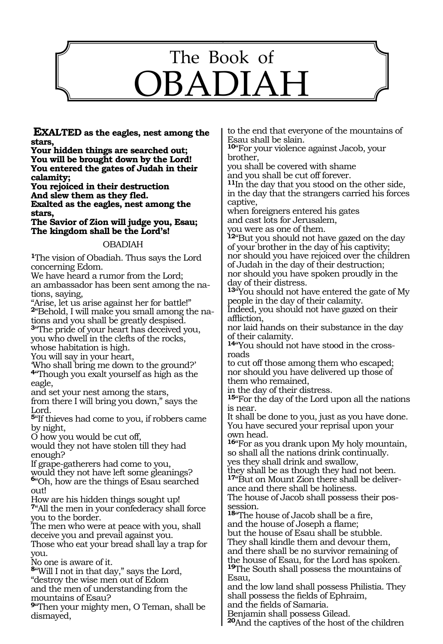

**EXALTED as the eagles, nest among the stars,**

**Your hidden things are searched out; You will be brought down by the Lord! You entered the gates of Judah in their calamity;**

**You rejoiced in their destruction And slew them as they fled. Exalted as the eagles, nest among the stars,**

**The Savior of Zion will judge you, Esau; The kingdom shall be the Lord's!**

### OBADIAH

**<sup>1</sup>**The vision of Obadiah. Thus says the Lord concerning Edom.

We have heard a rumor from the Lord; an ambassador has been sent among the nations, saying,

"Arise, let us arise against her for battle!" **2**"Behold, I will make you small among the nations and you shall be greatly despised.

**<sup>3</sup>**"The pride of your heart has deceived you, you who dwell in the clefts of the rocks, whose habitation is high.

You will say in your heart,

'Who shall bring me down to the ground?' **<sup>4</sup>**"Though you exalt yourself as high as the eagle,

and set your nest among the stars,

from there I will bring you down," says the Lord.

**<sup>5</sup>**"If thieves had come to you, if robbers came by night,

O how you would be cut off,

would they not have stolen till they had enough?

If grape-gatherers had come to you, would they not have left some gleanings? **<sup>6</sup>**"Oh, how are the things of Esau searched

out!

How are his hidden things sought up! **<sup>7</sup>**"All the men in your confederacy shall force you to the border.

The men who were at peace with you, shall deceive you and prevail against you. Those who eat your bread shall lay a trap for

you.

No one is aware of it.

**<sup>8</sup>**"Will I not in that day," says the Lord, "destroy the wise men out of Edom and the men of understanding from the mountains of Esau?

**<sup>9</sup>**"Then your mighty men, O Teman, shall be dismayed,

to the end that everyone of the mountains of Esau shall be slain.

**<sup>10</sup>**"For your violence against Jacob, your brother,

you shall be covered with shame and you shall be cut off forever.

**<sup>11</sup>**In the day that you stood on the other side, in the day that the strangers carried his forces captive,

when foreigners entered his gates and cast lots for Jerusalem, you were as one of them.

**<sup>12</sup>**"But you should not have gazed on the day of your brother in the day of his captivity; nor should you have rejoiced over the children of Judah in the day of their destruction; nor should you have spoken proudly in the day of their distress.

**<sup>13</sup>**"You should not have entered the gate of My people in the day of their calamity.

Indeed, you should not have gazed on their affliction,

nor laid hands on their substance in the day of their calamity.

**14**"You should not have stood in the crossroads

to cut off those among them who escaped; nor should you have delivered up those of them who remained,

in the day of their distress.

**<sup>15</sup>**"For the day of the Lord upon all the nations is near.

It shall be done to you, just as you have done. You have secured your reprisal upon your own head.

**<sup>16</sup>**"For as you drank upon My holy mountain, so shall all the nations drink continually. yes they shall drink and swallow,

they shall be as though they had not been. **17**"But on Mount Zion there shall be deliverance and there shall be holiness.

The house of Jacob shall possess their possession.

**<sup>18</sup>**"The house of Jacob shall be a fire,

and the house of Joseph a flame; but the house of Esau shall be stubble.

They shall kindle them and devour them,

and there shall be no survivor remaining of the house of Esau, for the Lord has spoken. **<sup>19</sup>**The South shall possess the mountains of Esau,

and the low land shall possess Philistia. They shall possess the fields of Ephraim,

and the fields of Samaria.

Benjamin shall possess Gilead.

**<sup>20</sup>**And the captives of the host of the children